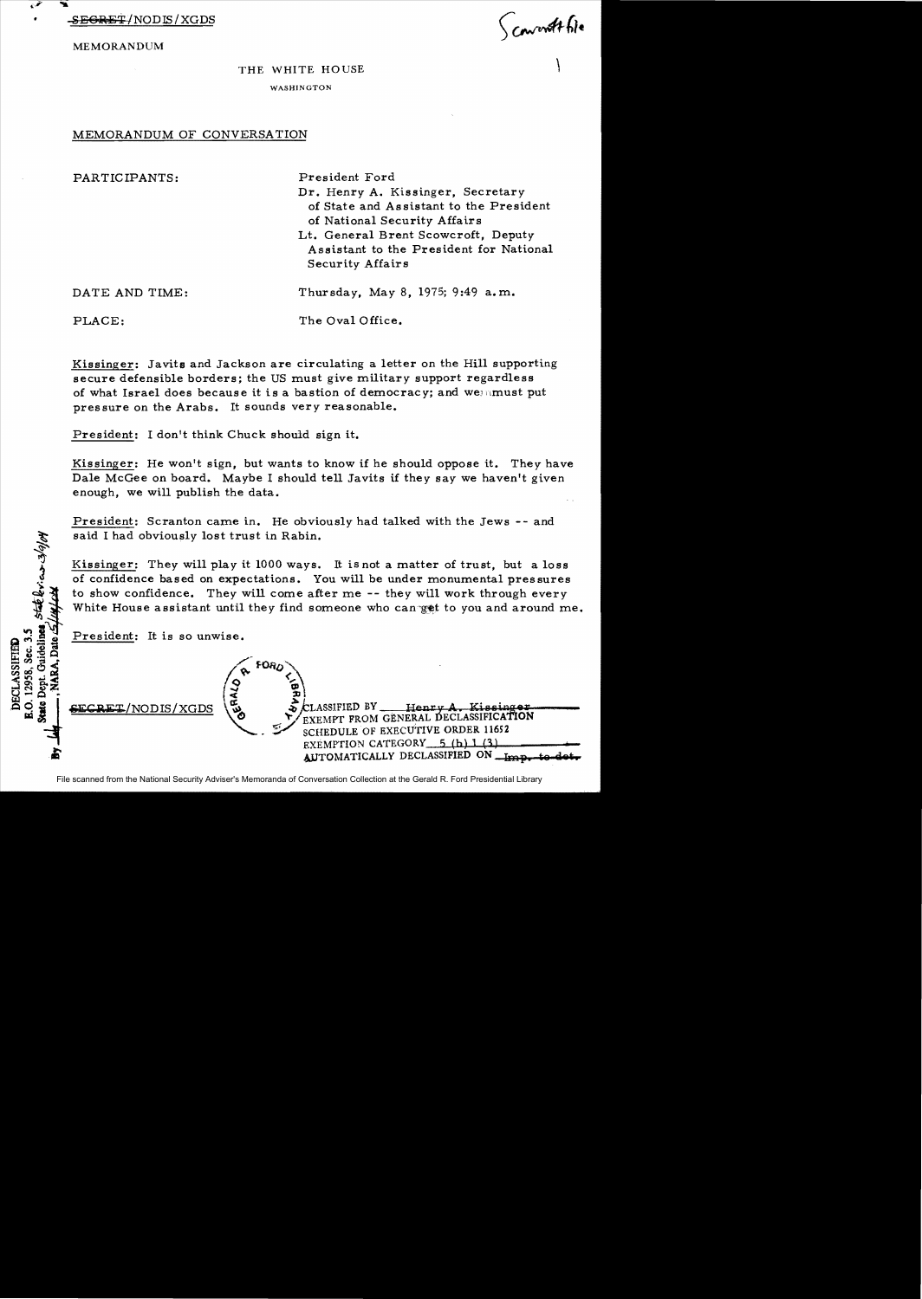

MEMORANDUM

Convent file

## THE WHITE HOUSE WASHINGTON

## MEMORANDUM OF CONVERSATION

| PARTICIPANTS:  | President Ford                          |
|----------------|-----------------------------------------|
|                | Dr. Henry A. Kissinger, Secretary       |
|                | of State and Assistant to the President |
|                | of National Security Affairs            |
|                | Lt. General Brent Scowcroft, Deputy     |
|                | Assistant to the President for National |
|                | Security Affairs                        |
| DATE AND TIME: | Thursday, May 8, 1975; 9:49 a.m.        |
| PLACE:         | The Oval Office.                        |

Kissinger: Javits and Jackson are circulating a letter on the Hill supporting secure defensible borders; the US must give military support regardless of what Israel does because it is a bastion of democracy; and wennust put pressure on the Arabs. It sounds very reasonable.

President: I don't think Chuck should sign it.

Kissinger: He won't sign, but wants to know if he should oppose it. They have Dale McGee on board. Maybe I should tell Javits if they say we haven't given enough, we will publish the data.

President: Scranton came in. He obviously had talked with the Jews -- and said I had obviously lost trust in Rabin.

Kissinger: They will play it 1000 ways. It is not a matter of trust, but a loss of confidence based on expectations. You will be under monumental pressures to show confidence. They will come after me -- they will work through every White House assistant until they find someone who canget to you and around me.

President: It is so unwise.

staterias 3/9/04

**DECLASSIFIED** 

**Guidelines** B.O. 12958, Sec. 3.5  $\sqrt{a}$   $^{FORQ}$  $\sqrt{9HQ}$ LASSIFIED BY Henry A. Kissinger<br>O EXEMPT FROM GENERAL DECLASSIFICATION NODIS/XGDS . !,r/ SCHEDULE OF EXECUTIVE ORDER 116;2 ~ EXEMPTION CATEGORY.........;5l.4(bD...J-).1.. -\-(.l.3~)**\_\_\_\_\_**  EXEMPTION CATEGORY 5 (b) 1 (3)<br>AUTOMATICALLY DECLASSIFIED ON **-Imp.** to

File scanned from the National Security Adviser's Memoranda of Conversation Collection at the Gerald R. Ford Presidential Library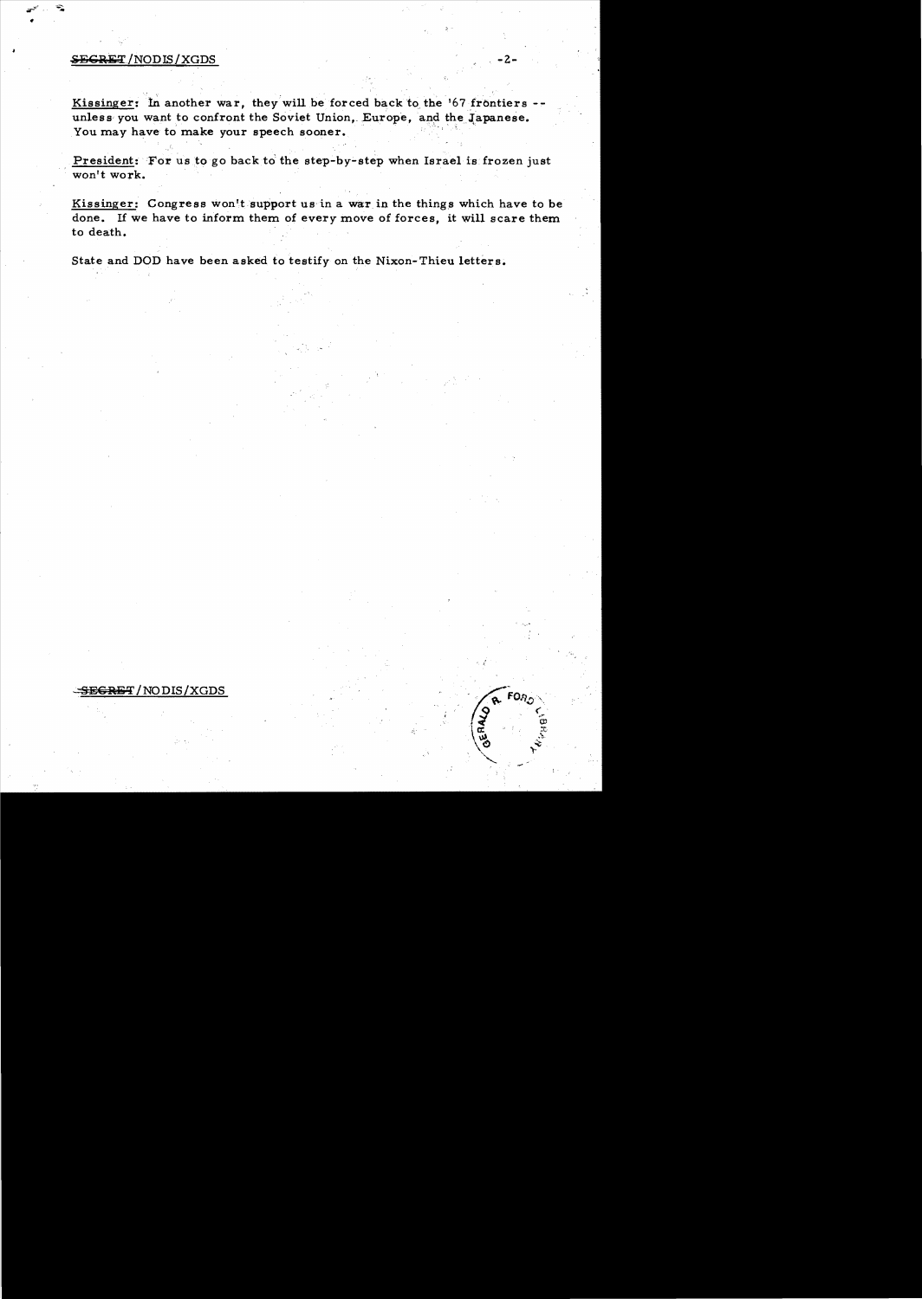## **SEGRET/NODIS/XGDS**

Kissinger: In another war, they will be forced back to the '67 frontiers -unless you want to confront the Soviet Union, Europe, and the Japanese. You may have to make your speech sooner.

President: For us to go back to the step-by-step when Israel is frozen just won't work.

Kissinger: Congress won't support us in a war in the things which have to be done. If we have to inform them of every move of forces, it will scare them to death.

FO<sub>o</sub>

ERALD

State and DOD have been asked to testify on the Nixon-Thieu letters.

## SEGRET/NODIS/XGDS